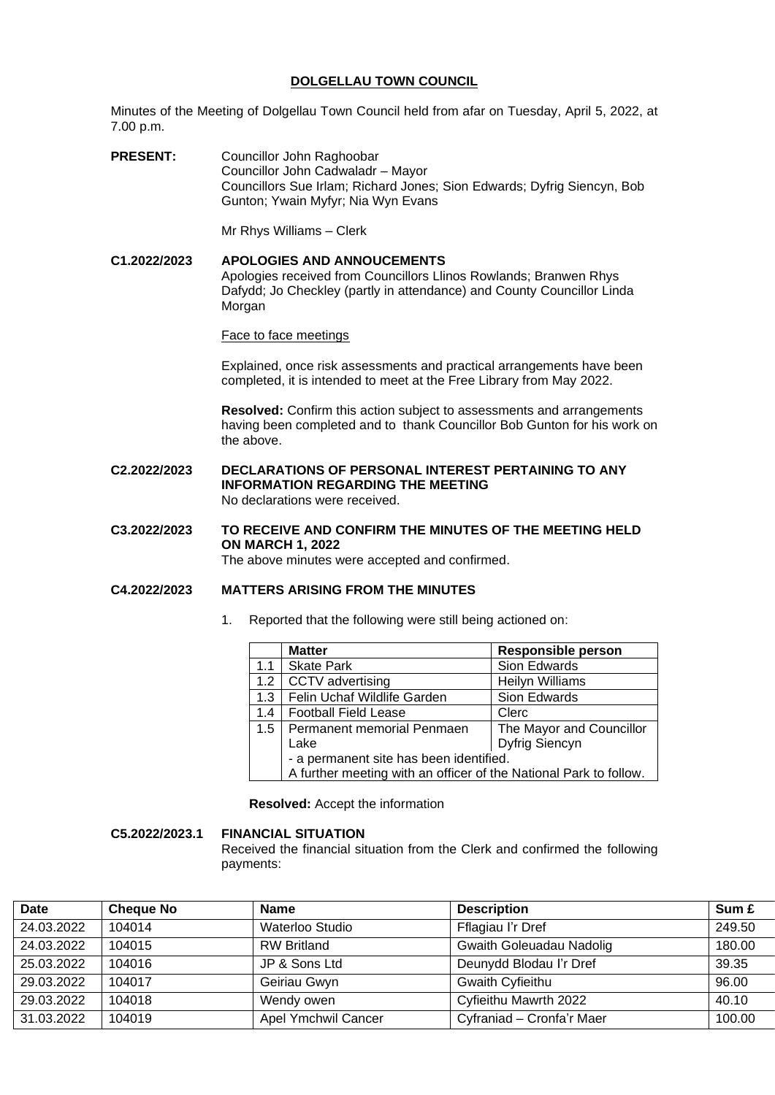# **DOLGELLAU TOWN COUNCIL**

Minutes of the Meeting of Dolgellau Town Council held from afar on Tuesday, April 5, 2022, at 7.00 p.m.

**PRESENT:** Councillor John Raghoobar Councillor John Cadwaladr – Mayor Councillors Sue Irlam; Richard Jones; Sion Edwards; Dyfrig Siencyn, Bob Gunton; Ywain Myfyr; Nia Wyn Evans

Mr Rhys Williams – Clerk

# **C1.2022/2023 APOLOGIES AND ANNOUCEMENTS** Apologies received from Councillors Llinos Rowlands; Branwen Rhys Dafydd; Jo Checkley (partly in attendance) and County Councillor Linda Morgan

Face to face meetings

Explained, once risk assessments and practical arrangements have been completed, it is intended to meet at the Free Library from May 2022.

**Resolved:** Confirm this action subject to assessments and arrangements having been completed and to thank Councillor Bob Gunton for his work on the above.

**C2.2022/2023 DECLARATIONS OF PERSONAL INTEREST PERTAINING TO ANY INFORMATION REGARDING THE MEETING** No declarations were received.

**C3.2022/2023 TO RECEIVE AND CONFIRM THE MINUTES OF THE MEETING HELD ON MARCH 1, 2022** The above minutes were accepted and confirmed.

## **C4.2022/2023 MATTERS ARISING FROM THE MINUTES**

1. Reported that the following were still being actioned on:

|     | <b>Matter</b>                                                     | <b>Responsible person</b> |  |
|-----|-------------------------------------------------------------------|---------------------------|--|
| 1.1 | <b>Skate Park</b>                                                 | Sion Edwards              |  |
| 1.2 | CCTV advertising                                                  | <b>Heilyn Williams</b>    |  |
| 1.3 | Felin Uchaf Wildlife Garden                                       | Sion Edwards              |  |
| 1.4 | <b>Football Field Lease</b>                                       | Clerc                     |  |
| 1.5 | Permanent memorial Penmaen                                        | The Mayor and Councillor  |  |
|     | Lake                                                              | <b>Dyfrig Siencyn</b>     |  |
|     | - a permanent site has been identified.                           |                           |  |
|     | A further meeting with an officer of the National Park to follow. |                           |  |

**Resolved:** Accept the information

**C5.2022/2023.1 FINANCIAL SITUATION**

Received the financial situation from the Clerk and confirmed the following payments:

| <b>Date</b> | <b>Cheque No</b> | <b>Name</b>         | <b>Description</b>        | Sum £  |
|-------------|------------------|---------------------|---------------------------|--------|
| 24.03.2022  | 104014           | Waterloo Studio     | Fflagiau I'r Dref         | 249.50 |
| 24.03.2022  | 104015           | <b>RW Britland</b>  | Gwaith Goleuadau Nadolig  | 180.00 |
| 25.03.2022  | 104016           | JP & Sons Ltd       | Deunydd Blodau I'r Dref   | 39.35  |
| 29.03.2022  | 104017           | Geiriau Gwyn        | Gwaith Cyfieithu          | 96.00  |
| 29.03.2022  | 104018           | Wendy owen          | Cyfieithu Mawrth 2022     | 40.10  |
| 31.03.2022  | 104019           | Apel Ymchwil Cancer | Cyfraniad - Cronfa'r Maer | 100.00 |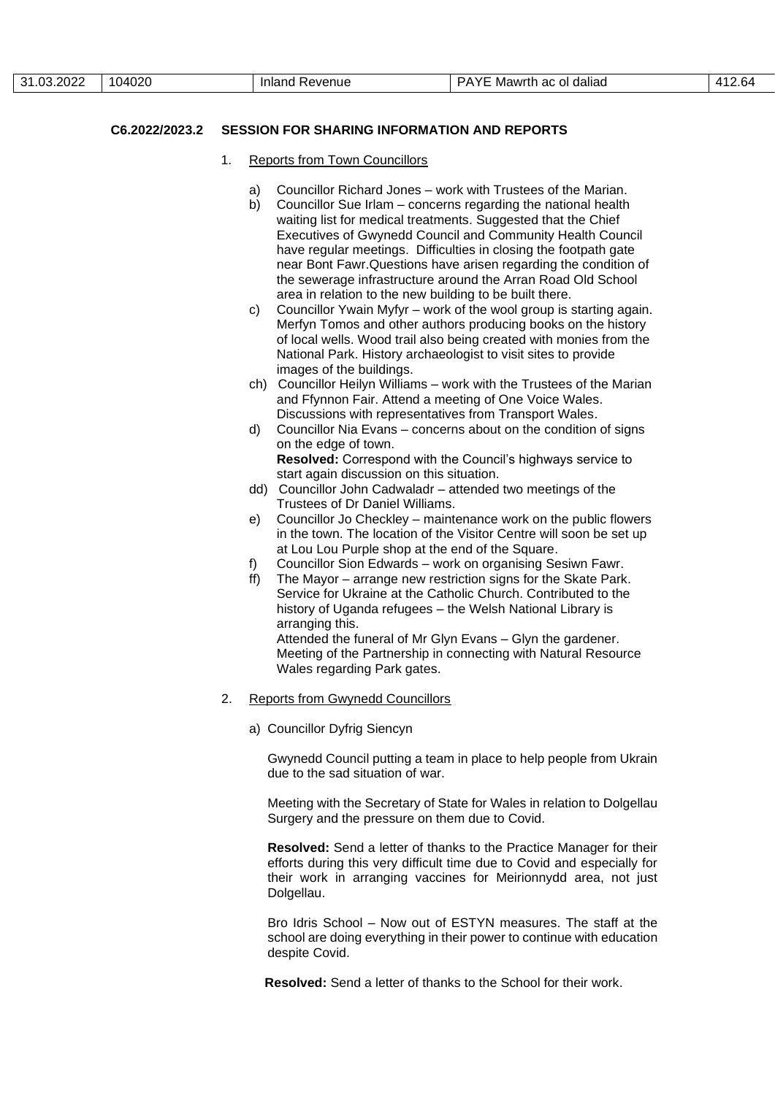### **C6.2022/2023.2 SESSION FOR SHARING INFORMATION AND REPORTS**

- 1. Reports from Town Councillors
	- a) Councillor Richard Jones work with Trustees of the Marian.
	- b) Councillor Sue Irlam concerns regarding the national health waiting list for medical treatments. Suggested that the Chief Executives of Gwynedd Council and Community Health Council have regular meetings. Difficulties in closing the footpath gate near Bont Fawr.Questions have arisen regarding the condition of the sewerage infrastructure around the Arran Road Old School area in relation to the new building to be built there.
	- c) Councillor Ywain Myfyr work of the wool group is starting again. Merfyn Tomos and other authors producing books on the history of local wells. Wood trail also being created with monies from the National Park. History archaeologist to visit sites to provide images of the buildings.
	- ch) Councillor Heilyn Williams work with the Trustees of the Marian and Ffynnon Fair. Attend a meeting of One Voice Wales. Discussions with representatives from Transport Wales.
	- d) Councillor Nia Evans concerns about on the condition of signs on the edge of town. **Resolved:** Correspond with the Council's highways service to
	- start again discussion on this situation. dd) Councillor John Cadwaladr – attended two meetings of the Trustees of Dr Daniel Williams.
	- e) Councillor Jo Checkley maintenance work on the public flowers in the town. The location of the Visitor Centre will soon be set up at Lou Lou Purple shop at the end of the Square.
	- f) Councillor Sion Edwards work on organising Sesiwn Fawr.
	- ff) The Mayor arrange new restriction signs for the Skate Park. Service for Ukraine at the Catholic Church. Contributed to the history of Uganda refugees – the Welsh National Library is arranging this.

Attended the funeral of Mr Glyn Evans – Glyn the gardener. Meeting of the Partnership in connecting with Natural Resource Wales regarding Park gates.

- 2. Reports from Gwynedd Councillors
	- a) Councillor Dyfrig Siencyn

Gwynedd Council putting a team in place to help people from Ukrain due to the sad situation of war.

Meeting with the Secretary of State for Wales in relation to Dolgellau Surgery and the pressure on them due to Covid.

**Resolved:** Send a letter of thanks to the Practice Manager for their efforts during this very difficult time due to Covid and especially for their work in arranging vaccines for Meirionnydd area, not just Dolgellau.

Bro Idris School – Now out of ESTYN measures. The staff at the school are doing everything in their power to continue with education despite Covid.

 **Resolved:** Send a letter of thanks to the School for their work.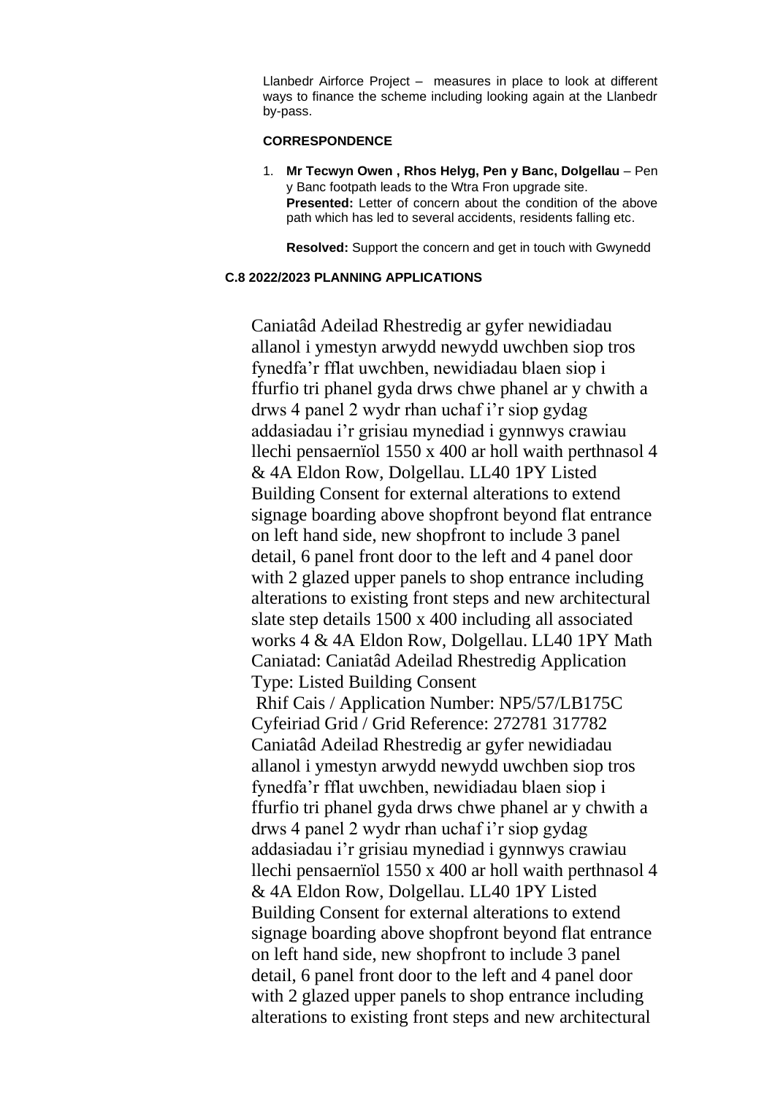Llanbedr Airforce Project – measures in place to look at different ways to finance the scheme including looking again at the Llanbedr by-pass.

# **CORRESPONDENCE**

1. **Mr Tecwyn Owen , Rhos Helyg, Pen y Banc, Dolgellau** – Pen y Banc footpath leads to the Wtra Fron upgrade site. **Presented:** Letter of concern about the condition of the above path which has led to several accidents, residents falling etc.

**Resolved:** Support the concern and get in touch with Gwynedd

# **C.8 2022/2023 PLANNING APPLICATIONS**

Caniatâd Adeilad Rhestredig ar gyfer newidiadau allanol i ymestyn arwydd newydd uwchben siop tros fynedfa'r fflat uwchben, newidiadau blaen siop i ffurfio tri phanel gyda drws chwe phanel ar y chwith a drws 4 panel 2 wydr rhan uchaf i'r siop gydag addasiadau i'r grisiau mynediad i gynnwys crawiau llechi pensaernïol 1550 x 400 ar holl waith perthnasol 4 & 4A Eldon Row, Dolgellau. LL40 1PY Listed Building Consent for external alterations to extend signage boarding above shopfront beyond flat entrance on left hand side, new shopfront to include 3 panel detail, 6 panel front door to the left and 4 panel door with 2 glazed upper panels to shop entrance including alterations to existing front steps and new architectural slate step details 1500 x 400 including all associated works 4 & 4A Eldon Row, Dolgellau. LL40 1PY Math Caniatad: Caniatâd Adeilad Rhestredig Application Type: Listed Building Consent Rhif Cais / Application Number: NP5/57/LB175C Cyfeiriad Grid / Grid Reference: 272781 317782 Caniatâd Adeilad Rhestredig ar gyfer newidiadau allanol i ymestyn arwydd newydd uwchben siop tros fynedfa'r fflat uwchben, newidiadau blaen siop i ffurfio tri phanel gyda drws chwe phanel ar y chwith a drws 4 panel 2 wydr rhan uchaf i'r siop gydag addasiadau i'r grisiau mynediad i gynnwys crawiau llechi pensaernïol 1550 x 400 ar holl waith perthnasol 4 & 4A Eldon Row, Dolgellau. LL40 1PY Listed Building Consent for external alterations to extend signage boarding above shopfront beyond flat entrance on left hand side, new shopfront to include 3 panel detail, 6 panel front door to the left and 4 panel door with 2 glazed upper panels to shop entrance including alterations to existing front steps and new architectural